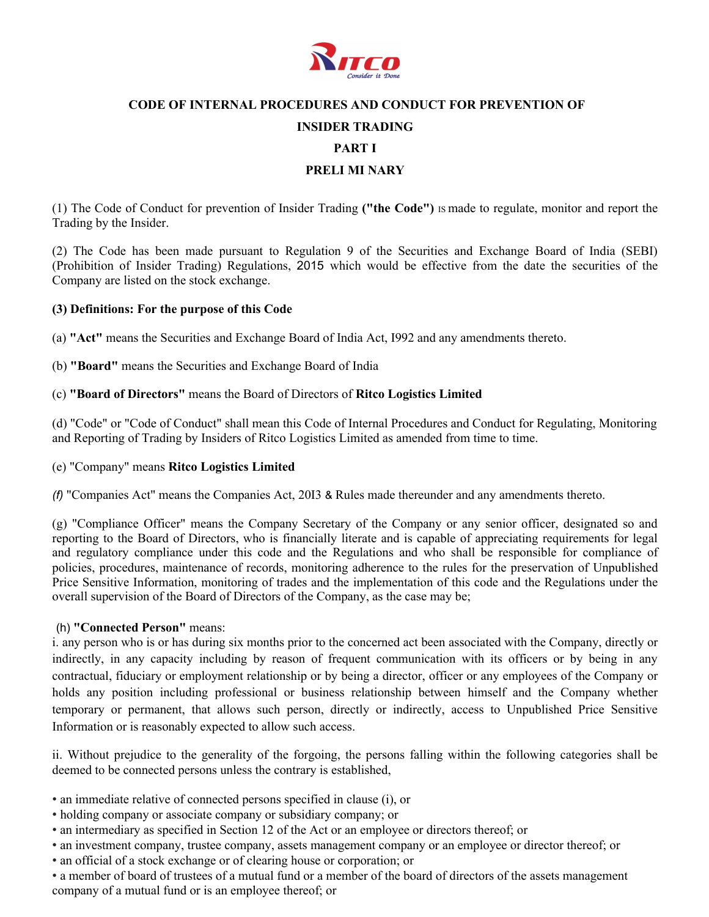

### **CODE OF INTERNAL PROCEDURES AND CONDUCT FOR PREVENTION OF**

### **INSIDER TRADING**

**PART I** 

#### **PRELI MI NARY**

(1) The Code of Conduct for prevention of Insider Trading **("the Code")** IS made to regulate, monitor and report the Trading by the Insider.

(2) The Code has been made pursuant to Regulation 9 of the Securities and Exchange Board of India (SEBI) (Prohibition of Insider Trading) Regulations, 2015 which would be effective from the date the securities of the Company are listed on the stock exchange.

#### **(3) Definitions: For the purpose of this Code**

(a) **"Act"** means the Securities and Exchange Board of India Act, I992 and any amendments thereto.

(b) **"Board"** means the Securities and Exchange Board of India

#### (c) **"Board of Directors"** means the Board of Directors of **Ritco Logistics Limited**

(d) "Code" or "Code of Conduct" shall mean this Code of Internal Procedures and Conduct for Regulating, Monitoring and Reporting of Trading by Insiders of Ritco Logistics Limited as amended from time to time.

#### (e) "Company" means **Ritco Logistics Limited**

*(f)* "Companies Act" means the Companies Act, 20I3 & Rules made thereunder and any amendments thereto.

(g) "Compliance Officer" means the Company Secretary of the Company or any senior officer, designated so and reporting to the Board of Directors, who is financially literate and is capable of appreciating requirements for legal and regulatory compliance under this code and the Regulations and who shall be responsible for compliance of policies, procedures, maintenance of records, monitoring adherence to the rules for the preservation of Unpublished Price Sensitive Information, monitoring of trades and the implementation of this code and the Regulations under the overall supervision of the Board of Directors of the Company, as the case may be;

#### (h) **"Connected Person"** means:

i. any person who is or has during six months prior to the concerned act been associated with the Company, directly or indirectly, in any capacity including by reason of frequent communication with its officers or by being in any contractual, fiduciary or employment relationship or by being a director, officer or any employees of the Company or holds any position including professional or business relationship between himself and the Company whether temporary or permanent, that allows such person, directly or indirectly, access to Unpublished Price Sensitive Information or is reasonably expected to allow such access.

ii. Without prejudice to the generality of the forgoing, the persons falling within the following categories shall be deemed to be connected persons unless the contrary is established,

- an immediate relative of connected persons specified in clause (i), or
- holding company or associate company or subsidiary company; or
- an intermediary as specified in Section 12 of the Act or an employee or directors thereof; or
- an investment company, trustee company, assets management company or an employee or director thereof; or
- an official of a stock exchange or of clearing house or corporation; or
- a member of board of trustees of a mutual fund or a member of the board of directors of the assets management company of a mutual fund or is an employee thereof; or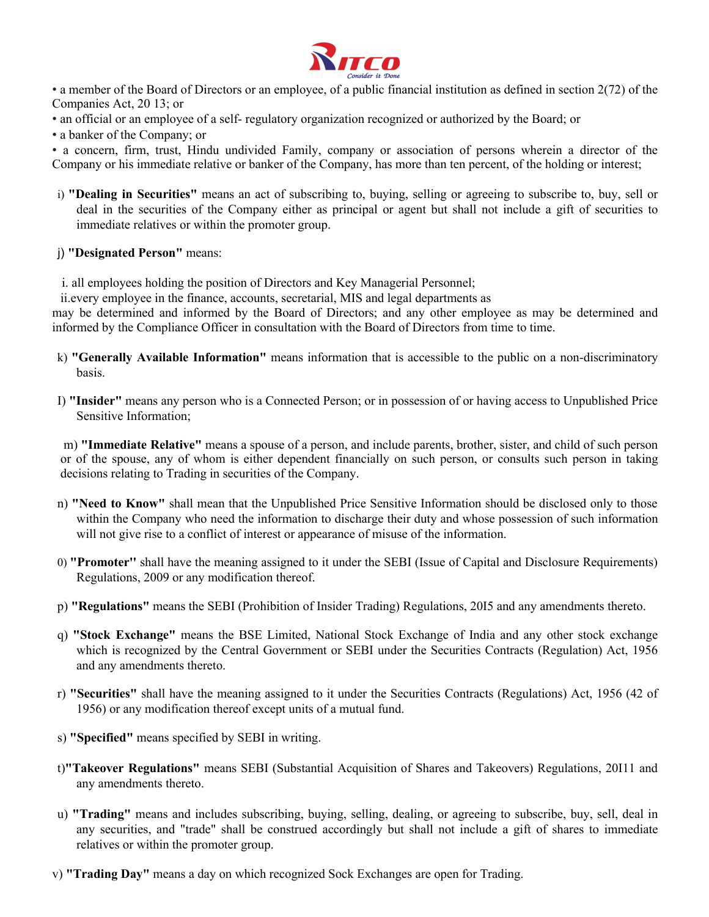

• a member of the Board of Directors or an employee, of a public financial institution as defined in section 2(72) of the Companies Act, 20 13; or

• an official or an employee of a self- regulatory organization recognized or authorized by the Board; or

• a banker of the Company; or

• a concern, firm, trust, Hindu undivided Family, company or association of persons wherein a director of the Company or his immediate relative or banker of the Company, has more than ten percent, of the holding or interest;

- i) **"Dealing in Securities"** means an act of subscribing to, buying, selling or agreeing to subscribe to, buy, sell or deal in the securities of the Company either as principal or agent but shall not include a gift of securities to immediate relatives or within the promoter group.
- j) **"Designated Person"** means:

i. all employees holding the position of Directors and Key Managerial Personnel;

ii.every employee in the finance, accounts, secretarial, MIS and legal departments as

may be determined and informed by the Board of Directors; and any other employee as may be determined and informed by the Compliance Officer in consultation with the Board of Directors from time to time.

- k) **"Generally Available Information"** means information that is accessible to the public on a non-discriminatory basis.
- I) **"Insider"** means any person who is a Connected Person; or in possession of or having access to Unpublished Price Sensitive Information;

m) **"Immediate Relative"** means a spouse of a person, and include parents, brother, sister, and child of such person or of the spouse, any of whom is either dependent financially on such person, or consults such person in taking decisions relating to Trading in securities of the Company.

- n) **"Need to Know"** shall mean that the Unpublished Price Sensitive Information should be disclosed only to those within the Company who need the information to discharge their duty and whose possession of such information will not give rise to a conflict of interest or appearance of misuse of the information.
- 0) **"Promoter''** shall have the meaning assigned to it under the SEBI (Issue of Capital and Disclosure Requirements) Regulations, 2009 or any modification thereof.
- p) **"Regulations"** means the SEBI (Prohibition of Insider Trading) Regulations, 20I5 and any amendments thereto.
- q) **"Stock Exchange"** means the BSE Limited, National Stock Exchange of India and any other stock exchange which is recognized by the Central Government or SEBI under the Securities Contracts (Regulation) Act, 1956 and any amendments thereto.
- r) **"Securities"** shall have the meaning assigned to it under the Securities Contracts (Regulations) Act, 1956 (42 of 1956) or any modification thereof except units of a mutual fund.
- s) **"Specified"** means specified by SEBI in writing.
- t)**"Takeover Regulations"** means SEBI (Substantial Acquisition of Shares and Takeovers) Regulations, 20I11 and any amendments thereto.
- u) **"Trading"** means and includes subscribing, buying, selling, dealing, or agreeing to subscribe, buy, sell, deal in any securities, and "trade" shall be construed accordingly but shall not include a gift of shares to immediate relatives or within the promoter group.
- v) **"Trading Day"** means a day on which recognized Sock Exchanges are open for Trading.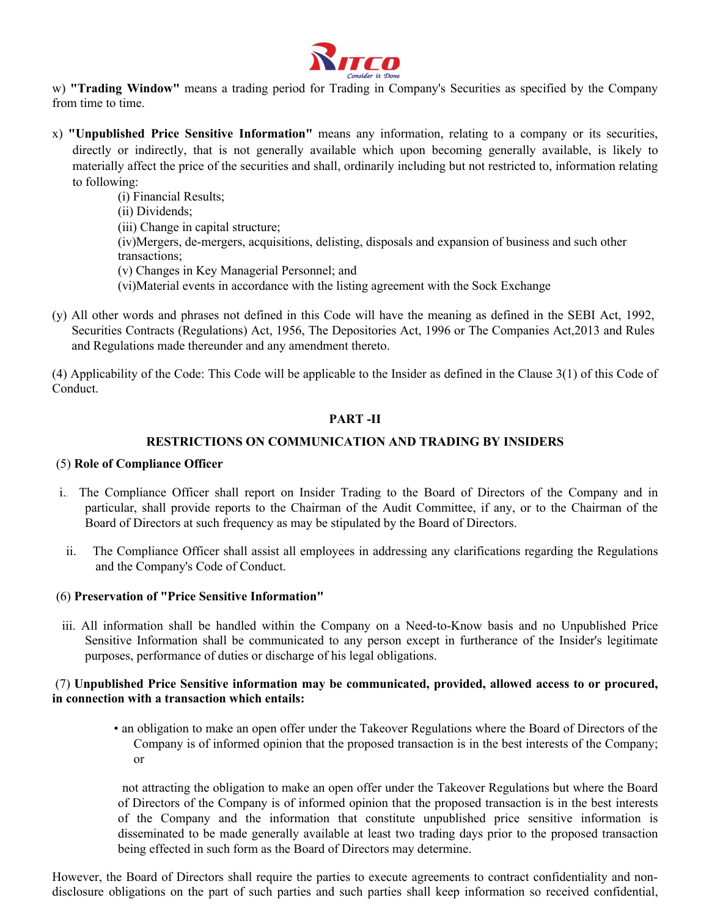

w) **"Trading Window"** means a trading period for Trading in Company's Securities as specified by the Company from time to time.

x) **"Unpublished Price Sensitive Information"** means any information, relating to a company or its securities, directly or indirectly, that is not generally available which upon becoming generally available, is likely to materially affect the price of the securities and shall, ordinarily including but not restricted to, information relating to following:

(i) Financial Results; (ii) Dividends; (iii) Change in capital structure; (iv)Mergers, de-mergers, acquisitions, delisting, disposals and expansion of business and such other transactions; (v) Changes in Key Managerial Personnel; and (vi)Material events in accordance with the listing agreement with the Sock Exchange

(y) All other words and phrases not defined in this Code will have the meaning as defined in the SEBI Act, 1992, Securities Contracts (Regulations) Act, 1956, The Depositories Act, 1996 or The Companies Act,2013 and Rules and Regulations made thereunder and any amendment thereto.

(4) Applicability of the Code: This Code will be applicable to the Insider as defined in the Clause 3(1) of this Code of Conduct.

### **PART -II**

## **RESTRICTIONS ON COMMUNICATION AND TRADING BY INSIDERS**

### (5) **Role of Compliance Officer**

- i.. The Compliance Officer shall report on Insider Trading to the Board of Directors of the Company and in particular, shall provide reports to the Chairman of the Audit Committee, if any, or to the Chairman of the Board of Directors at such frequency as may be stipulated by the Board of Directors.
- ii. The Compliance Officer shall assist all employees in addressing any clarifications regarding the Regulations and the Company's Code of Conduct.

#### (6) **Preservation of "Price Sensitive Information"**

iii. All information shall be handled within the Company on a Need-to-Know basis and no Unpublished Price Sensitive Information shall be communicated to any person except in furtherance of the Insider's legitimate purposes, performance of duties or discharge of his legal obligations.

### (7) **Unpublished Price Sensitive information may be communicated, provided, allowed access to or procured, in connection with a transaction which entails:**

• an obligation to make an open offer under the Takeover Regulations where the Board of Directors of the Company is of informed opinion that the proposed transaction is in the best interests of the Company; or

 not attracting the obligation to make an open offer under the Takeover Regulations but where the Board of Directors of the Company is of informed opinion that the proposed transaction is in the best interests of the Company and the information that constitute unpublished price sensitive information is disseminated to be made generally available at least two trading days prior to the proposed transaction being effected in such form as the Board of Directors may determine.

However, the Board of Directors shall require the parties to execute agreements to contract confidentiality and nondisclosure obligations on the part of such parties and such parties shall keep information so received confidential,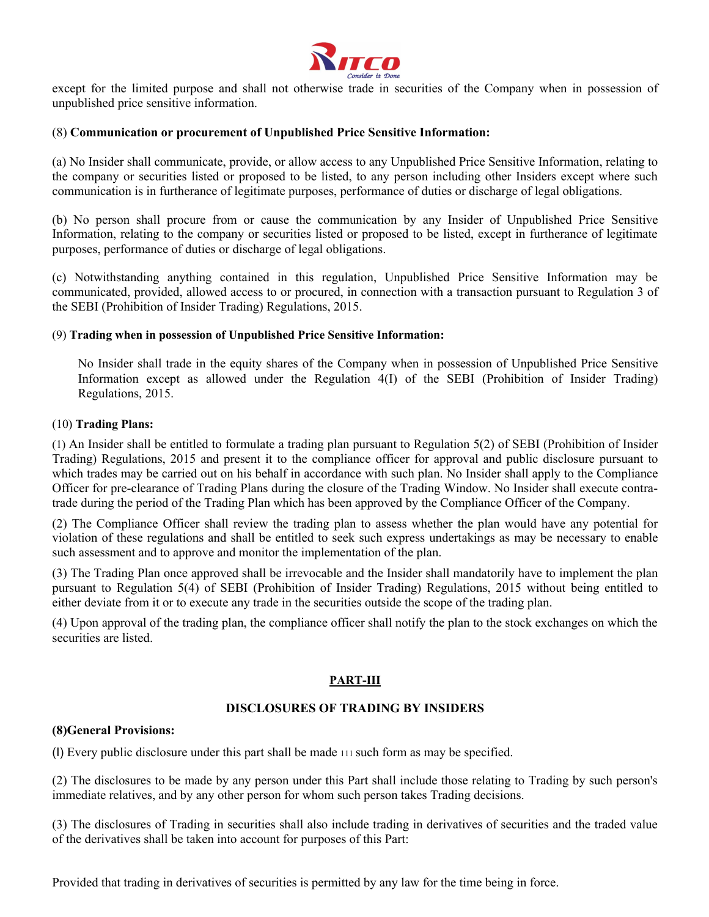

except for the limited purpose and shall not otherwise trade in securities of the Company when in possession of unpublished price sensitive information.

#### (8) **Communication or procurement of Unpublished Price Sensitive Information:**

(a) No Insider shall communicate, provide, or allow access to any Unpublished Price Sensitive Information, relating to the company or securities listed or proposed to be listed, to any person including other Insiders except where such communication is in furtherance of legitimate purposes, performance of duties or discharge of legal obligations.

(b) No person shall procure from or cause the communication by any Insider of Unpublished Price Sensitive Information, relating to the company or securities listed or proposed to be listed, except in furtherance of legitimate purposes, performance of duties or discharge of legal obligations.

(c) Notwithstanding anything contained in this regulation, Unpublished Price Sensitive Information may be communicated, provided, allowed access to or procured, in connection with a transaction pursuant to Regulation 3 of the SEBI (Prohibition of Insider Trading) Regulations, 2015.

#### (9) **Trading when in possession of Unpublished Price Sensitive Information:**

No Insider shall trade in the equity shares of the Company when in possession of Unpublished Price Sensitive Information except as allowed under the Regulation 4(I) of the SEBI (Prohibition of Insider Trading) Regulations, 2015.

#### (10) **Trading Plans:**

(1) An Insider shall be entitled to formulate a trading plan pursuant to Regulation 5(2) of SEBI (Prohibition of Insider Trading) Regulations, 2015 and present it to the compliance officer for approval and public disclosure pursuant to which trades may be carried out on his behalf in accordance with such plan. No Insider shall apply to the Compliance Officer for pre-clearance of Trading Plans during the closure of the Trading Window. No Insider shall execute contratrade during the period of the Trading Plan which has been approved by the Compliance Officer of the Company.

(2) The Compliance Officer shall review the trading plan to assess whether the plan would have any potential for violation of these regulations and shall be entitled to seek such express undertakings as may be necessary to enable such assessment and to approve and monitor the implementation of the plan.

(3) The Trading Plan once approved shall be irrevocable and the Insider shall mandatorily have to implement the plan pursuant to Regulation 5(4) of SEBI (Prohibition of Insider Trading) Regulations, 2015 without being entitled to either deviate from it or to execute any trade in the securities outside the scope of the trading plan.

(4) Upon approval of the trading plan, the compliance officer shall notify the plan to the stock exchanges on which the securities are listed.

#### **PART-III**

## **DISCLOSURES OF TRADING BY INSIDERS**

#### **(8)General Provisions:**

(I) Every public disclosure under this part shall be made 111 such form as may be specified.

(2) The disclosures to be made by any person under this Part shall include those relating to Trading by such person's immediate relatives, and by any other person for whom such person takes Trading decisions.

(3) The disclosures of Trading in securities shall also include trading in derivatives of securities and the traded value of the derivatives shall be taken into account for purposes of this Part:

Provided that trading in derivatives of securities is permitted by any law for the time being in force.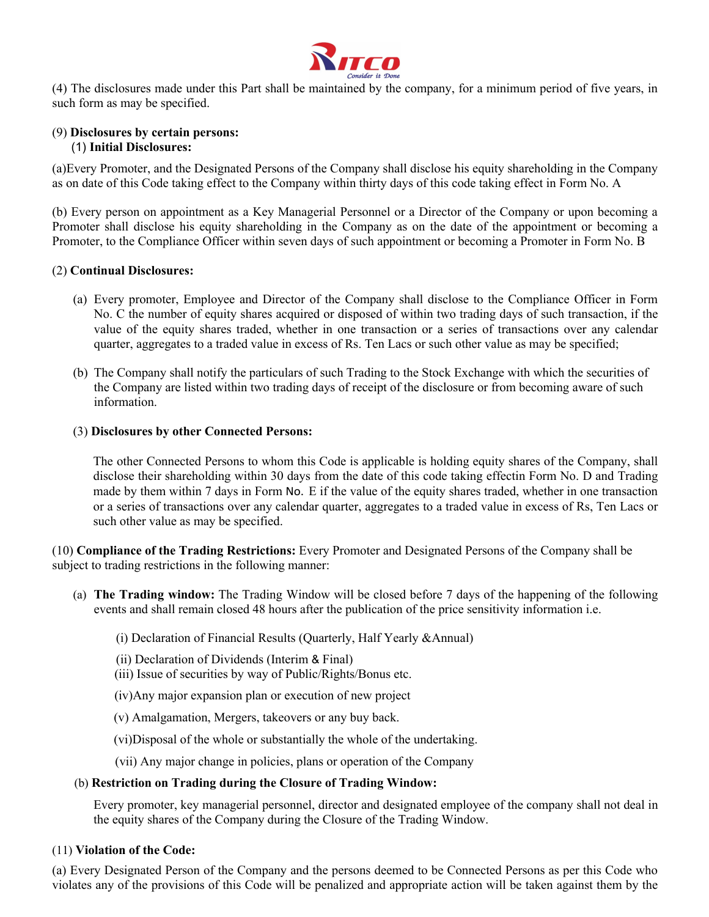

(4) The disclosures made under this Part shall be maintained by the company, for a minimum period of five years, in such form as may be specified.

### (9) **Disclosures by certain persons:** (1) **Initial Disclosures:**

(a)Every Promoter, and the Designated Persons of the Company shall disclose his equity shareholding in the Company as on date of this Code taking effect to the Company within thirty days of this code taking effect in Form No. A

(b) Every person on appointment as a Key Managerial Personnel or a Director of the Company or upon becoming a Promoter shall disclose his equity shareholding in the Company as on the date of the appointment or becoming a Promoter, to the Compliance Officer within seven days of such appointment or becoming a Promoter in Form No. B

#### (2) **Continual Disclosures:**

- (a) Every promoter, Employee and Director of the Company shall disclose to the Compliance Officer in Form No. C the number of equity shares acquired or disposed of within two trading days of such transaction, if the value of the equity shares traded, whether in one transaction or a series of transactions over any calendar quarter, aggregates to a traded value in excess of Rs. Ten Lacs or such other value as may be specified;
- (b) The Company shall notify the particulars of such Trading to the Stock Exchange with which the securities of the Company are listed within two trading days of receipt of the disclosure or from becoming aware of such information.

#### (3) **Disclosures by other Connected Persons:**

The other Connected Persons to whom this Code is applicable is holding equity shares of the Company, shall disclose their shareholding within 30 days from the date of this code taking effectin Form No. D and Trading made by them within 7 days in Form No. E if the value of the equity shares traded, whether in one transaction or a series of transactions over any calendar quarter, aggregates to a traded value in excess of Rs, Ten Lacs or such other value as may be specified.

(10) **Compliance of the Trading Restrictions:** Every Promoter and Designated Persons of the Company shall be subject to trading restrictions in the following manner:

(a) **The Trading window:** The Trading Window will be closed before 7 days of the happening of the following events and shall remain closed 48 hours after the publication of the price sensitivity information i.e.

#### (i) Declaration of Financial Results (Quarterly, Half Yearly &Annual)

- (ii) Declaration of Dividends (Interim & Final)
- (iii) Issue of securities by way of Public/Rights/Bonus etc.
- (iv)Any major expansion plan or execution of new project
- (v) Amalgamation, Mergers, takeovers or any buy back.
- (vi)Disposal of the whole or substantially the whole of the undertaking.

(vii) Any major change in policies, plans or operation of the Company

#### (b) **Restriction on Trading during the Closure of Trading Window:**

Every promoter, key managerial personnel, director and designated employee of the company shall not deal in the equity shares of the Company during the Closure of the Trading Window.

#### (11) **Violation of the Code:**

(a) Every Designated Person of the Company and the persons deemed to be Connected Persons as per this Code who violates any of the provisions of this Code will be penalized and appropriate action will be taken against them by the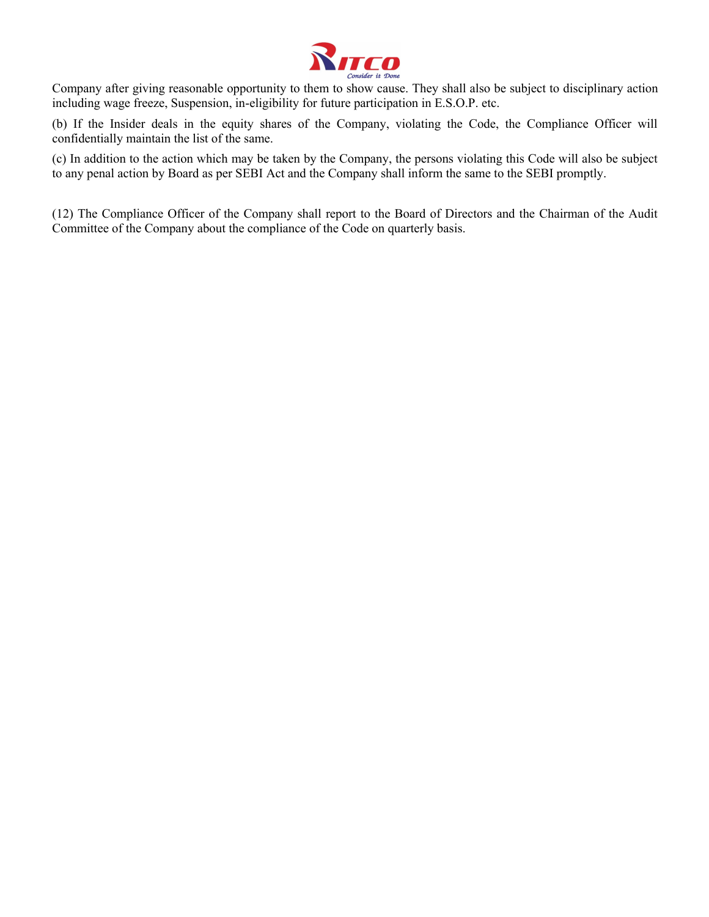

Company after giving reasonable opportunity to them to show cause. They shall also be subject to disciplinary action including wage freeze, Suspension, in-eligibility for future participation in E.S.O.P. etc.

(b) If the Insider deals in the equity shares of the Company, violating the Code, the Compliance Officer will confidentially maintain the list of the same.

(c) In addition to the action which may be taken by the Company, the persons violating this Code will also be subject to any penal action by Board as per SEBI Act and the Company shall inform the same to the SEBI promptly.

(12) The Compliance Officer of the Company shall report to the Board of Directors and the Chairman of the Audit Committee of the Company about the compliance of the Code on quarterly basis.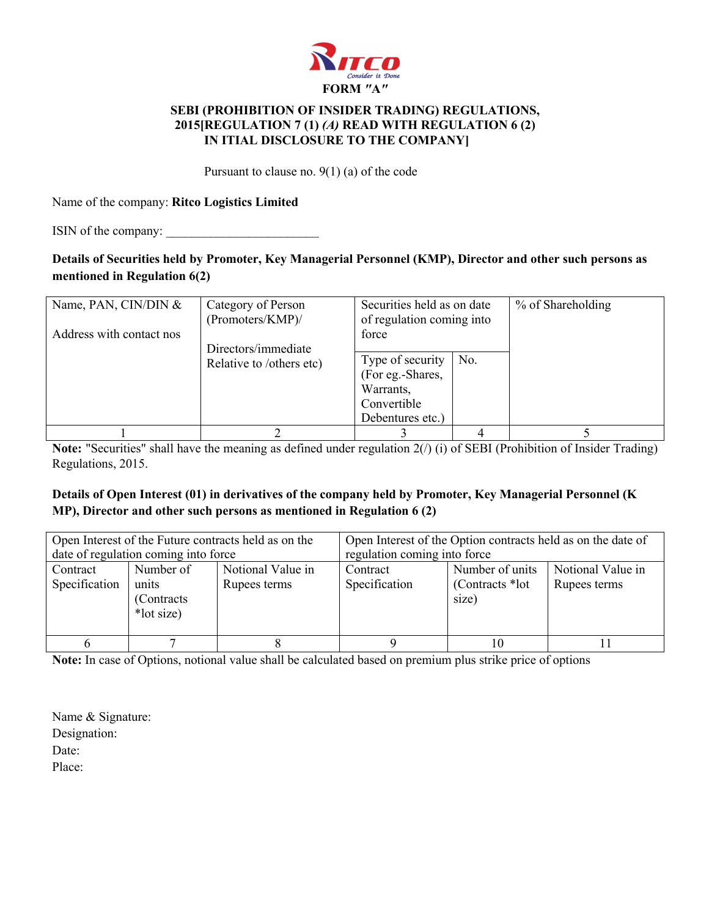

## **SEBI (PROHIBITION OF INSIDER TRADING) REGULATIONS, 2015[REGULATION 7 (1)** *(A)* **READ WITH REGULATION 6 (2) IN ITIAL DISCLOSURE TO THE COMPANY]**

Pursuant to clause no. 9(1) (a) of the code

Name of the company: **Ritco Logistics Limited**

ISIN of the company:

# **Details of Securities held by Promoter, Key Managerial Personnel (KMP), Director and other such persons as mentioned in Regulation 6(2)**

| Name, PAN, CIN/DIN $&$<br>Address with contact nos | Category of Person<br>(Promoters/KMP)/<br>Directors/immediate | Securities held as on date<br>of regulation coming into<br>force                     |     | % of Shareholding |
|----------------------------------------------------|---------------------------------------------------------------|--------------------------------------------------------------------------------------|-----|-------------------|
|                                                    | Relative to /others etc)                                      | Type of security<br>(For eg.-Shares,<br>Warrants,<br>Convertible<br>Debentures etc.) | No. |                   |
|                                                    |                                                               |                                                                                      |     |                   |

**Note:** "Securities" shall have the meaning as defined under regulation 2(/) (i) of SEBI (Prohibition of Insider Trading) Regulations, 2015.

# **Details of Open Interest (01) in derivatives of the company held by Promoter, Key Managerial Personnel (K MP), Director and other such persons as mentioned in Regulation 6 (2)**

|                           | date of regulation coming into force            | Open Interest of the Future contracts held as on the | Open Interest of the Option contracts held as on the date of<br>regulation coming into force |                                              |                                   |  |  |  |  |
|---------------------------|-------------------------------------------------|------------------------------------------------------|----------------------------------------------------------------------------------------------|----------------------------------------------|-----------------------------------|--|--|--|--|
| Contract<br>Specification | Number of<br>units<br>(Contracts)<br>*lot size) | Notional Value in<br>Rupees terms                    | Contract<br>Specification                                                                    | Number of units<br>(Contracts *lot)<br>size) | Notional Value in<br>Rupees terms |  |  |  |  |
| <sub>t</sub>              |                                                 |                                                      |                                                                                              | 10                                           |                                   |  |  |  |  |

**Note:** In case of Options, notional value shall be calculated based on premium plus strike price of options

Name & Signature: Designation: Date: Place: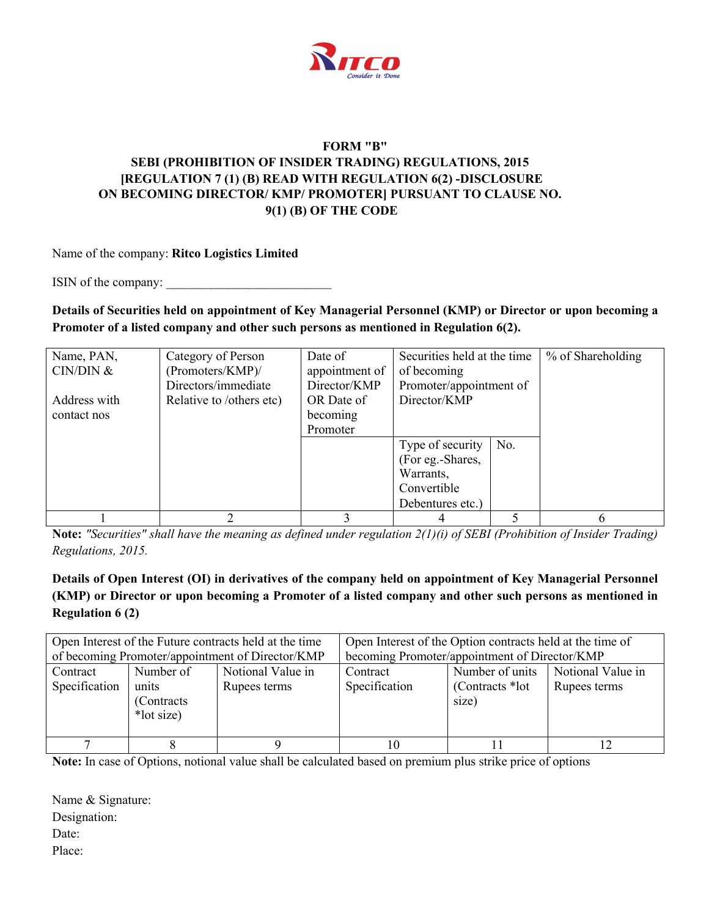

# **FORM "B" SEBI (PROHIBITION OF INSIDER TRADING) REGULATIONS, 2015 [REGULATION 7 (1) (B) READ WITH REGULATION 6(2) -DISCLOSURE ON BECOMING DIRECTOR/ KMP/ PROMOTER] PURSUANT TO CLAUSE NO. 9(1) (B) OF THE CODE**

Name of the company: **Ritco Logistics Limited**

ISIN of the company:

**Details of Securities held on appointment of Key Managerial Personnel (KMP) or Director or upon becoming a Promoter of a listed company and other such persons as mentioned in Regulation 6(2).**

| Name, PAN,   | Category of Person       | Date of        | Securities held at the time |     | % of Shareholding |
|--------------|--------------------------|----------------|-----------------------------|-----|-------------------|
| CIN/DIN &    | (Promoters/KMP)/         | appointment of | of becoming                 |     |                   |
|              | Directors/immediate      | Director/KMP   | Promoter/appointment of     |     |                   |
| Address with | Relative to /others etc) | OR Date of     | Director/KMP                |     |                   |
| contact nos  |                          | becoming       |                             |     |                   |
|              |                          | Promoter       |                             |     |                   |
|              |                          |                | Type of security            | No. |                   |
|              |                          |                | (For eg.-Shares,            |     |                   |
|              |                          |                | Warrants,                   |     |                   |
|              |                          |                | Convertible                 |     |                   |
|              |                          |                | Debentures etc.)            |     |                   |
|              |                          |                |                             |     |                   |

**Note:** *"Securities" shall have the meaning as defined under regulation 2(1)(i) of SEBI (Prohibition of Insider Trading) Regulations, 2015.*

# **Details of Open Interest (OI) in derivatives of the company held on appointment of Key Managerial Personnel (KMP) or Director or upon becoming a Promoter of a listed company and other such persons as mentioned in Regulation 6 (2)**

|                           |                                                 | Open Interest of the Future contracts held at the time<br>of becoming Promoter/appointment of Director/KMP | Open Interest of the Option contracts held at the time of<br>becoming Promoter/appointment of Director/KMP |                                              |                                   |  |  |  |
|---------------------------|-------------------------------------------------|------------------------------------------------------------------------------------------------------------|------------------------------------------------------------------------------------------------------------|----------------------------------------------|-----------------------------------|--|--|--|
| Contract<br>Specification | Number of<br>units<br>(Contracts)<br>*lot size) | Notional Value in<br>Rupees terms                                                                          | Contract<br>Specification                                                                                  | Number of units<br>(Contracts *lot)<br>size) | Notional Value in<br>Rupees terms |  |  |  |
|                           |                                                 |                                                                                                            | 10                                                                                                         |                                              |                                   |  |  |  |

**Note:** In case of Options, notional value shall be calculated based on premium plus strike price of options

Name & Signature: Designation: Date: Place: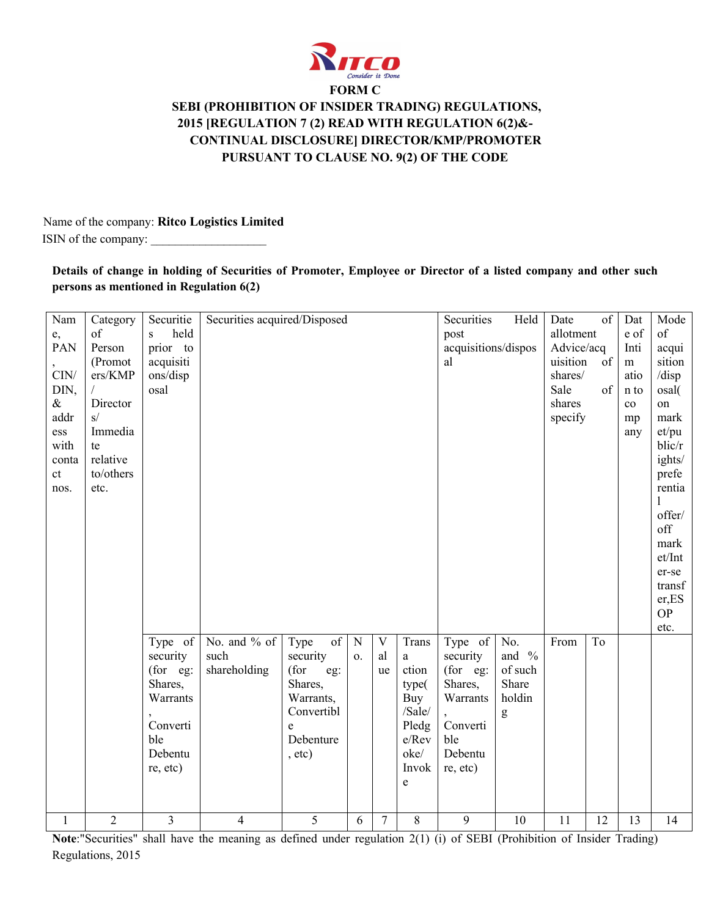

# **FORM C SEBI (PROHIBITION OF INSIDER TRADING) REGULATIONS, 2015 [REGULATION 7 (2) READ WITH REGULATION 6(2)&- CONTINUAL DISCLOSURE] DIRECTOR/KMP/PROMOTER PURSUANT TO CLAUSE NO. 9(2) OF THE CODE**

 Name of the company: **Ritco Logistics Limited** ISIN of the company:

### **Details of change in holding of Securities of Promoter, Employee or Director of a listed company and other such persons as mentioned in Regulation 6(2)**

| Nam             | Category       | Securitie | Securities acquired/Disposed |             |                |              |        | Securities          | Held     | Date       | of | Dat       | Mode      |
|-----------------|----------------|-----------|------------------------------|-------------|----------------|--------------|--------|---------------------|----------|------------|----|-----------|-----------|
| e,              | of             | held<br>S |                              |             |                |              |        | post                |          | allotment  |    | e of      | of        |
| PAN             | Person         | prior to  |                              |             |                |              |        | acquisitions/dispos |          | Advice/acq |    | Inti      | acqui     |
|                 | (Promot        | acquisiti |                              |             |                |              |        | al                  |          | uisition   | of | m         | sition    |
| $\mathrm{CIN}/$ | ers/KMP        | ons/disp  |                              |             |                |              |        |                     |          | shares/    |    | atio      | /disp     |
| DIN,            |                | osal      |                              |             |                |              |        |                     |          | Sale       | of | n to      | osal(     |
| $\&$            | Director       |           |                              |             |                |              |        |                     |          | shares     |    | $\rm{co}$ | on        |
| addr            | s/             |           |                              |             |                |              |        |                     |          | specify    |    | mp        | mark      |
| ess             | Immedia        |           |                              |             |                |              |        |                     |          |            |    | any       | et/pu     |
| with            | te             |           |                              |             |                |              |        |                     |          |            |    |           | blic/r    |
| conta           | relative       |           |                              |             |                |              |        |                     |          |            |    |           | ights/    |
| ct              | to/others      |           |                              |             |                |              |        |                     |          |            |    |           | prefe     |
| nos.            | etc.           |           |                              |             |                |              |        |                     |          |            |    |           | rentia    |
|                 |                |           |                              |             |                |              |        |                     |          |            |    |           | 1         |
|                 |                |           |                              |             |                |              |        |                     |          |            |    |           | offer/    |
|                 |                |           |                              |             |                |              |        |                     |          |            |    |           | off       |
|                 |                |           |                              |             |                |              |        |                     |          |            |    |           | mark      |
|                 |                |           |                              |             |                |              |        |                     |          |            |    |           | et/Int    |
|                 |                |           |                              |             |                |              |        |                     |          |            |    |           | er-se     |
|                 |                |           |                              |             |                |              |        |                     |          |            |    |           | transf    |
|                 |                |           |                              |             |                |              |        |                     |          |            |    |           | er,ES     |
|                 |                |           |                              |             |                |              |        |                     |          |            |    |           | <b>OP</b> |
|                 |                |           |                              |             |                |              |        |                     |          |            |    |           | etc.      |
|                 |                | Type of   | No. and % of                 | Type<br>of  | $\mathbf N$    | $\mathbf{V}$ | Trans  | Type of             | No.      | From       | To |           |           |
|                 |                | security  | such                         | security    | $\mathbf{O}$ . | al           | a      | security            | and $\%$ |            |    |           |           |
|                 |                | (for eg:  | shareholding                 | (for<br>eg: |                | ue           | ction  | (for eg:            | of such  |            |    |           |           |
|                 |                | Shares,   |                              | Shares,     |                |              | type(  | Shares,             | Share    |            |    |           |           |
|                 |                | Warrants  |                              | Warrants,   |                |              | Buy    | Warrants            | holdin   |            |    |           |           |
|                 |                |           |                              | Convertibl  |                |              | /Sale/ |                     | g        |            |    |           |           |
|                 |                | Converti  |                              | e           |                |              | Pledg  | Converti            |          |            |    |           |           |
|                 |                | ble       |                              | Debenture   |                |              | e/Rev  | ble                 |          |            |    |           |           |
|                 |                | Debentu   |                              | , etc.)     |                |              | oke/   | Debentu             |          |            |    |           |           |
|                 |                | re, etc)  |                              |             |                |              | Invok  | re, etc)            |          |            |    |           |           |
|                 |                |           |                              |             |                |              | e      |                     |          |            |    |           |           |
|                 |                |           |                              |             |                |              |        |                     |          |            |    |           |           |
| $\mathbf{1}$    | $\overline{2}$ | 3         | 4                            | 5           | 6              | $\tau$       | 8      | 9                   | 10       | 11         | 12 | 13        | 14        |

**Note**:"Securities" shall have the meaning as defined under regulation 2(1) (i) of SEBI (Prohibition of Insider Trading) Regulations, 2015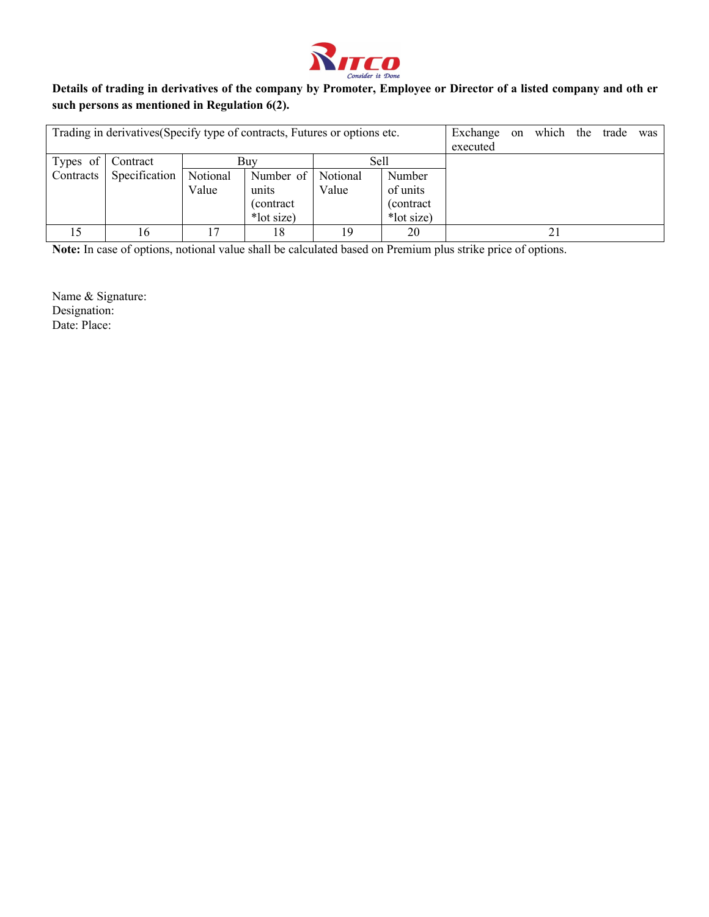

## **Details of trading in derivatives of the company by Promoter, Employee or Director of a listed company and oth er such persons as mentioned in Regulation 6(2).**

| Trading in derivatives (Specify type of contracts, Futures or options etc. |               |          |            |          |            | Exchange<br>executed | <sub>on</sub> | which | the | trade | was |
|----------------------------------------------------------------------------|---------------|----------|------------|----------|------------|----------------------|---------------|-------|-----|-------|-----|
| Types of $\vert$                                                           | Contract      |          | Buv        | Sell     |            |                      |               |       |     |       |     |
| Contracts                                                                  | Specification | Notional | Number of  | Notional | Number     |                      |               |       |     |       |     |
|                                                                            |               | Value    | units      | Value    | of units   |                      |               |       |     |       |     |
|                                                                            |               |          | (contract) |          | (contract) |                      |               |       |     |       |     |
|                                                                            |               |          | *lot size) |          | *lot size) |                      |               |       |     |       |     |
|                                                                            | Iб            | 17       | 18         | 19       | 20         |                      |               |       |     |       |     |

**Note:** In case of options, notional value shall be calculated based on Premium plus strike price of options.

Name & Signature: Designation: Date: Place: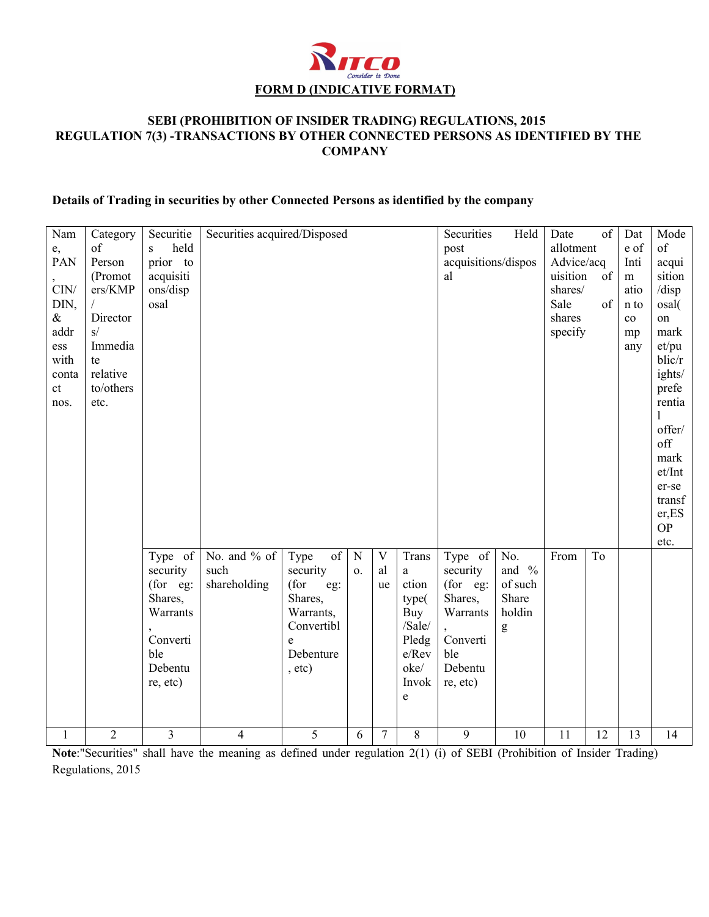

## **SEBI (PROHIBITION OF INSIDER TRADING) REGULATIONS, 2015 REGULATION 7(3) -TRANSACTIONS BY OTHER CONNECTED PERSONS AS IDENTIFIED BY THE COMPANY**

# **Details of Trading in securities by other Connected Persons as identified by the company**

| Nam             | Category       | Securitie             | Securities acquired/Disposed |             |                |                |              | Securities                  | Held     | Date                   | of              | Dat          | Mode<br>of      |
|-----------------|----------------|-----------------------|------------------------------|-------------|----------------|----------------|--------------|-----------------------------|----------|------------------------|-----------------|--------------|-----------------|
| e,<br>PAN       | of             | held<br>S<br>prior to |                              |             |                |                |              | post<br>acquisitions/dispos |          | allotment              |                 | e of<br>Inti |                 |
|                 | Person         |                       |                              |             |                |                |              | al                          |          | Advice/acq<br>uisition | $\overline{of}$ |              | acqui<br>sition |
| $\mathrm{CIN}/$ | (Promot        | acquisiti             |                              |             |                |                |              |                             |          | shares/                |                 | m<br>atio    |                 |
|                 | ers/KMP        | ons/disp              |                              |             |                |                |              |                             |          |                        |                 |              | /disp           |
| DIN,<br>$\&$    |                | osal                  |                              |             |                |                |              |                             |          | Sale                   | of              | n to         | osal(           |
|                 | Director<br>s/ |                       |                              |             |                |                |              |                             |          | shares                 |                 | $\rm{co}$    | on              |
| addr            | Immedia        |                       |                              |             |                |                |              |                             |          | specify                |                 | mp           | mark            |
| ess<br>with     | te             |                       |                              |             |                |                |              |                             |          |                        |                 | any          | et/pu<br>blic/r |
| conta           | relative       |                       |                              |             |                |                |              |                             |          |                        |                 |              | ights/          |
| ct              | to/others      |                       |                              |             |                |                |              |                             |          |                        |                 |              | prefe           |
| nos.            | etc.           |                       |                              |             |                |                |              |                             |          |                        |                 |              | rentia          |
|                 |                |                       |                              |             |                |                |              |                             |          |                        |                 |              | $\mathbf{1}$    |
|                 |                |                       |                              |             |                |                |              |                             |          |                        |                 |              | offer/          |
|                 |                |                       |                              |             |                |                |              |                             |          |                        |                 |              | off             |
|                 |                |                       |                              |             |                |                |              |                             |          |                        |                 |              | mark            |
|                 |                |                       |                              |             |                |                |              |                             |          |                        |                 |              | et/Int          |
|                 |                |                       |                              |             |                |                |              |                             |          |                        |                 |              | er-se           |
|                 |                |                       |                              |             |                |                |              |                             |          |                        |                 |              | transf          |
|                 |                |                       |                              |             |                |                |              |                             |          |                        |                 |              | er,ES           |
|                 |                |                       |                              |             |                |                |              |                             |          |                        |                 |              | <b>OP</b>       |
|                 |                |                       |                              |             |                |                |              |                             |          |                        |                 |              | etc.            |
|                 |                | Type of $\vert$       | No. and % of                 | of<br>Type  | $\mathbf N$    | $\mathbf V$    | Trans        | Type of                     | No.      | From                   | To              |              |                 |
|                 |                | security              | such                         | security    | $\mathbf{O}$ . | al             | $\mathbf{a}$ | security                    | and $\%$ |                        |                 |              |                 |
|                 |                | (for eg:              | shareholding                 | (for<br>eg: |                | <b>ue</b>      | ction        | (for eg:                    | of such  |                        |                 |              |                 |
|                 |                | Shares,               |                              | Shares,     |                |                | type(        | Shares,                     | Share    |                        |                 |              |                 |
|                 |                | Warrants              |                              | Warrants,   |                |                | Buy          | Warrants                    | holdin   |                        |                 |              |                 |
|                 |                |                       |                              | Convertibl  |                |                | /Sale/       |                             | g        |                        |                 |              |                 |
|                 |                | Converti              |                              | e           |                |                | Pledg        | Converti                    |          |                        |                 |              |                 |
|                 |                | ble                   |                              | Debenture   |                |                | e/Rev        | ble                         |          |                        |                 |              |                 |
|                 |                | Debentu               |                              | , etc)      |                |                | oke/         | Debentu                     |          |                        |                 |              |                 |
|                 |                | re, etc)              |                              |             |                |                | Invok        | re, etc)                    |          |                        |                 |              |                 |
|                 |                |                       |                              |             |                |                | e            |                             |          |                        |                 |              |                 |
|                 |                |                       |                              |             |                |                |              |                             |          |                        |                 |              |                 |
| $\mathbf{1}$    | $\overline{2}$ | 3                     | $\overline{4}$               | 5           | 6              | $\overline{7}$ | 8            | 9                           | 10       | 11                     | 12              | 13           | 14              |
|                 |                |                       |                              |             |                |                |              |                             |          |                        |                 |              |                 |

**Note**:"Securities" shall have the meaning as defined under regulation 2(1) (i) of SEBI (Prohibition of Insider Trading) Regulations, 2015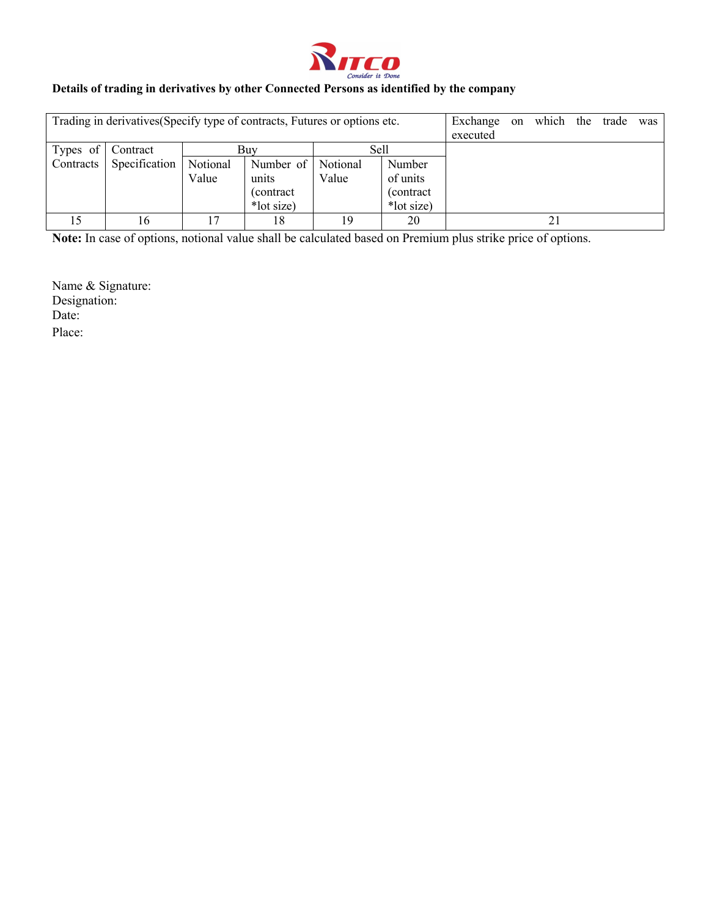

# **Details of trading in derivatives by other Connected Persons as identified by the company**

| Trading in derivatives (Specify type of contracts, Futures or options etc.<br>Exchange<br>executed |               |          |            |          |            |  | on | which | the | trade | was |
|----------------------------------------------------------------------------------------------------|---------------|----------|------------|----------|------------|--|----|-------|-----|-------|-----|
| Types of $\vert$                                                                                   | Contract      |          | Buv        | Sell     |            |  |    |       |     |       |     |
| Contracts                                                                                          | Specification | Notional | Number of  | Notional | Number     |  |    |       |     |       |     |
|                                                                                                    |               | Value    | units      | Value    | of units   |  |    |       |     |       |     |
|                                                                                                    |               |          | (contract) |          | (contract) |  |    |       |     |       |     |
|                                                                                                    |               |          | *lot size) |          | *lot size) |  |    |       |     |       |     |
|                                                                                                    | 16            |          | 18         | 19       | 20         |  |    |       |     |       |     |

**Note:** In case of options, notional value shall be calculated based on Premium plus strike price of options.

Name & Signature: Designation: Date: Place: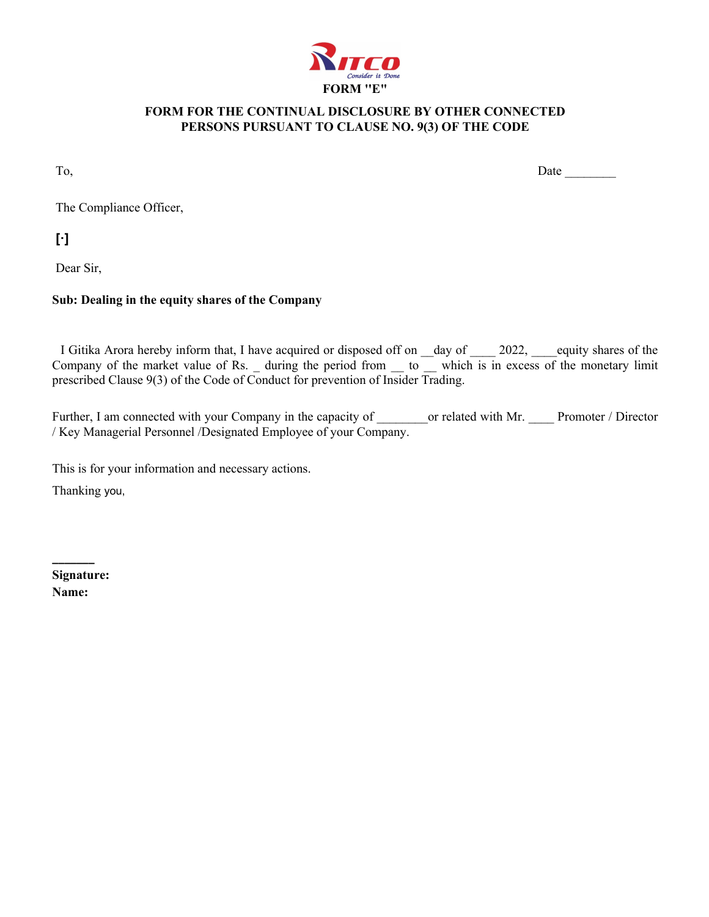

## **FORM FOR THE CONTINUAL DISCLOSURE BY OTHER CONNECTED PERSONS PURSUANT TO CLAUSE NO. 9(3) OF THE CODE**

To, Date Letterstown and the set of the set of the set of the set of the set of the set of the set of the set of the set of the set of the set of the set of the set of the set of the set of the set of the set of the set of

The Compliance Officer,

**[·]**

Dear Sir,

## **Sub: Dealing in the equity shares of the Company**

I Gitika Arora hereby inform that, I have acquired or disposed off on \_day of \_\_\_\_ 2022, \_\_\_\_equity shares of the Company of the market value of Rs. during the period from  $\overline{a}$  which is in excess of the monetary limit prescribed Clause 9(3) of the Code of Conduct for prevention of Insider Trading.

Further, I am connected with your Company in the capacity of or related with Mr. Promoter / Director / Key Managerial Personnel /Designated Employee of your Company.

This is for your information and necessary actions.

Thanking you,

**Signature: Name:**

**\_\_\_\_\_\_\_**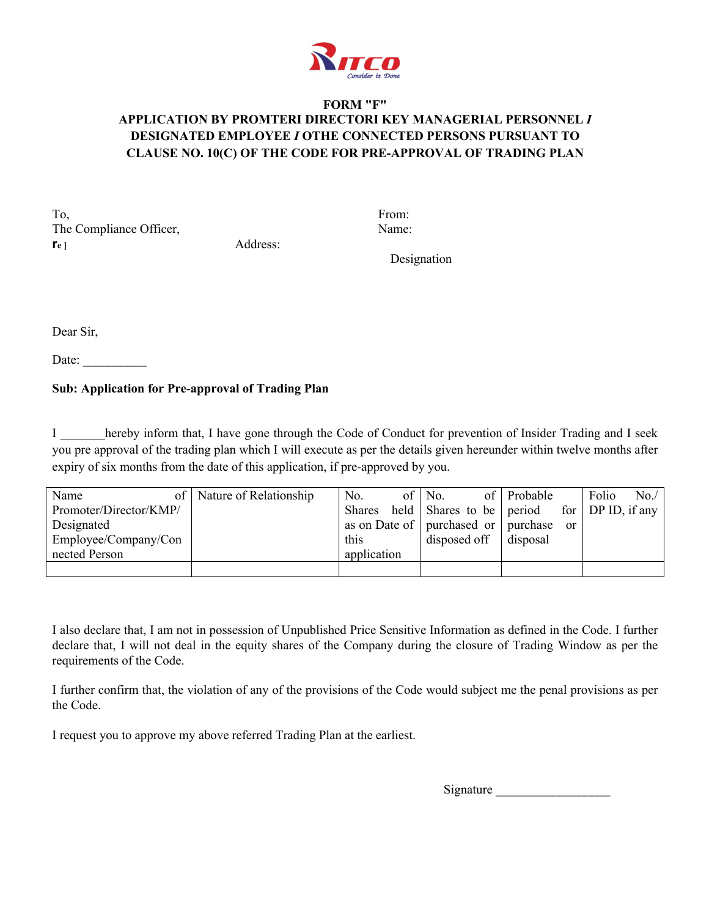

# **FORM "F" APPLICATION BY PROMTERI DIRECTORI KEY MANAGERIAL PERSONNEL** *I* **DESIGNATED EMPLOYEE** *I* **OTHE CONNECTED PERSONS PURSUANT TO CLAUSE NO. 10(C) OF THE CODE FOR PRE-APPROVAL OF TRADING PLAN**

To, From: The Compliance Officer, Name: **re ]** Address:

Designation

Dear Sir,

Date:

# **Sub: Application for Pre-approval of Trading Plan**

I hereby inform that, I have gone through the Code of Conduct for prevention of Insider Trading and I seek you pre approval of the trading plan which I will execute as per the details given hereunder within twelve months after expiry of six months from the date of this application, if pre-approved by you.

| Name                   | of   Nature of Relationship | No.         | of $\vert$ No.                                    | of Probable | Folio | No. |
|------------------------|-----------------------------|-------------|---------------------------------------------------|-------------|-------|-----|
| Promoter/Director/KMP/ |                             |             | Shares held Shares to be period for DP ID, if any |             |       |     |
| Designated             |                             |             | as on Date of   purchased or   purchase or        |             |       |     |
| Employee/Company/Con   |                             | this        | $\mu$ disposed of $\tau$ disposal                 |             |       |     |
| nected Person          |                             | application |                                                   |             |       |     |
|                        |                             |             |                                                   |             |       |     |

I also declare that, I am not in possession of Unpublished Price Sensitive Information as defined in the Code. I further declare that, I will not deal in the equity shares of the Company during the closure of Trading Window as per the requirements of the Code.

I further confirm that, the violation of any of the provisions of the Code would subject me the penal provisions as per the Code.

I request you to approve my above referred Trading Plan at the earliest.

Signature